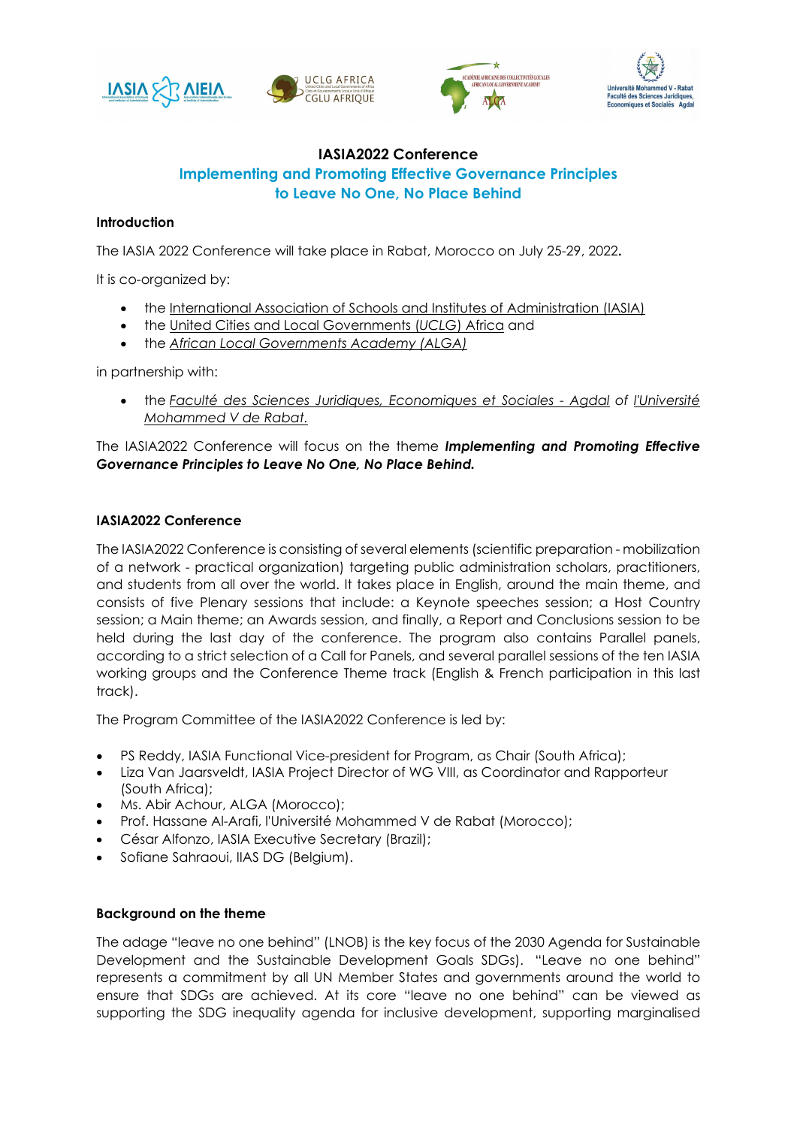







## **IASIA2022 Conference Implementing and Promoting Effective Governance Principles to Leave No One, No Place Behind**

## **Introduction**

The IASIA 2022 Conference will take place in Rabat, Morocco on July 25-29, 2022**.**

It is co-organized by:

- the [International Association of Schools and Institutes of Administration \(IASIA\)](https://iasia.iias-iisa.org/)
- the [United Cities and Local Governments](https://www.uclga.org/) (*UCLG*) Africa and
- the *[African Local Governments](https://uclgafrica-alga.org/) Academy (ALGA)*

in partnership with:

• the *[Faculté des Sciences Juridiques, Economiques et Sociales](http://fsjes-agdal.um5.ac.ma/article/fsjes-agdal) - Agdal of [l'Université](http://www.um5.ac.ma/um5/)  [Mohammed V de Rabat.](http://www.um5.ac.ma/um5/)*

The IASIA2022 Conference will focus on the theme *Implementing and Promoting Effective Governance Principles to Leave No One, No Place Behind.*

## **IASIA2022 Conference**

The IASIA2022 Conference is consisting of several elements (scientific preparation - mobilization of a network - practical organization) targeting public administration scholars, practitioners, and students from all over the world. It takes place in English, around the main theme, and consists of five Plenary sessions that include: a Keynote speeches session; a Host Country session; a Main theme; an Awards session, and finally, a Report and Conclusions session to be held during the last day of the conference. The program also contains Parallel panels, according to a strict selection of a Call for Panels, and several parallel sessions of the ten IASIA working groups and the Conference Theme track (English & French participation in this last track).

The Program Committee of the IASIA2022 Conference is led by:

- PS Reddy, IASIA Functional Vice-president for Program, as Chair (South Africa);
- Liza Van Jaarsveldt, IASIA Project Director of WG VIII, as Coordinator and Rapporteur (South Africa);
- Ms. Abir Achour, ALGA (Morocco);
- Prof. Hassane Al-Arafi, l'Université Mohammed V de Rabat (Morocco);
- César Alfonzo, IASIA Executive Secretary (Brazil);
- Sofiane Sahraoui, IIAS DG (Belgium).

## **Background on the theme**

The adage "leave no one behind" (LNOB) is the key focus of the 2030 Agenda for Sustainable Development and the Sustainable Development Goals SDGs). "Leave no one behind" represents a commitment by all UN Member States and governments around the world to ensure that SDGs are achieved. At its core "leave no one behind" can be viewed as supporting the SDG inequality agenda for inclusive development, supporting marginalised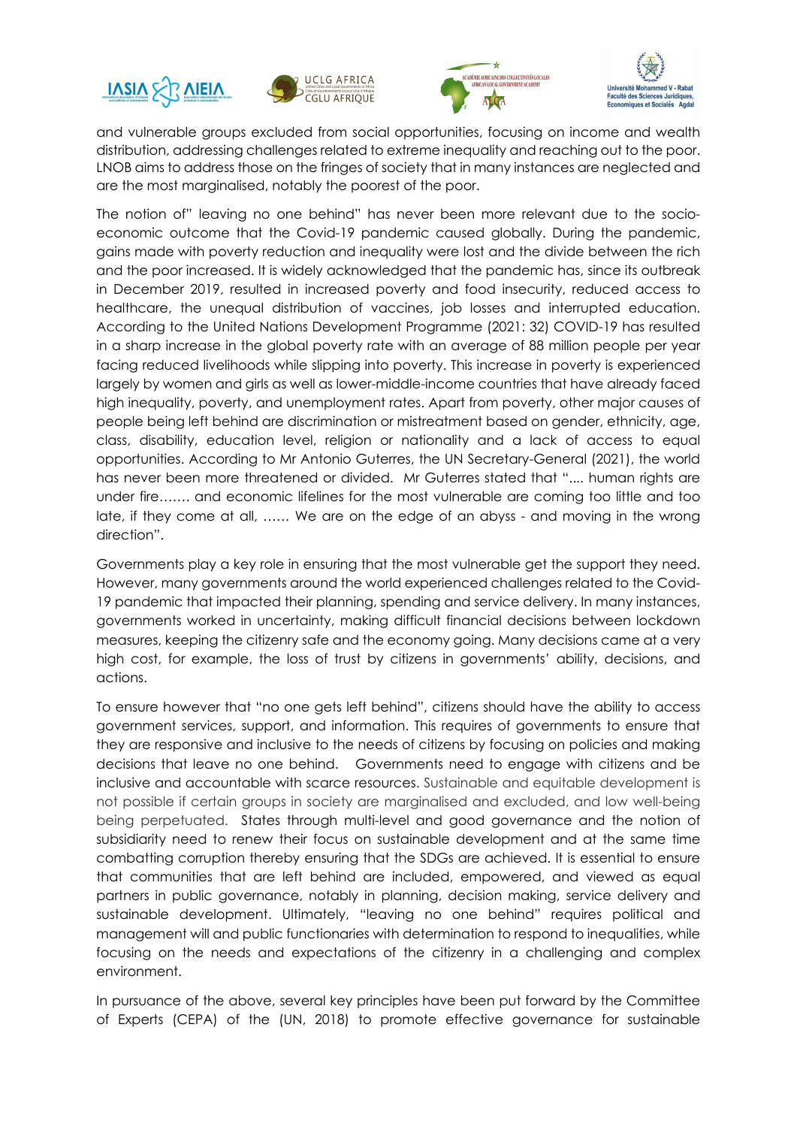







and vulnerable groups excluded from social opportunities, focusing on income and wealth distribution, addressing challenges related to extreme inequality and reaching out to the poor. LNOB aims to address those on the fringes of society that in many instances are neglected and are the most marginalised, notably the poorest of the poor.

The notion of" leaving no one behind" has never been more relevant due to the socioeconomic outcome that the Covid-19 pandemic caused globally. During the pandemic, gains made with poverty reduction and inequality were lost and the divide between the rich and the poor increased. It is widely acknowledged that the pandemic has, since its outbreak in December 2019, resulted in increased poverty and food insecurity, reduced access to healthcare, the unequal distribution of vaccines, job losses and interrupted education. According to the United Nations Development Programme (2021: 32) COVID-19 has resulted in a sharp increase in the global poverty rate with an average of 88 million people per year facing reduced livelihoods while slipping into poverty. This increase in poverty is experienced largely by women and girls as well as lower-middle-income countries that have already faced high inequality, poverty, and unemployment rates. Apart from poverty, other major causes of people being left behind are discrimination or mistreatment based on gender, ethnicity, age, class, disability, education level, religion or nationality and a lack of access to equal opportunities. According to Mr Antonio Guterres, the UN Secretary-General (2021), the world has never been more threatened or divided. Mr Guterres stated that ".... human rights are under fire……. and economic lifelines for the most vulnerable are coming too little and too late, if they come at all, …… We are on the edge of an abyss - and moving in the wrong direction".

Governments play a key role in ensuring that the most vulnerable get the support they need. However, many governments around the world experienced challenges related to the Covid-19 pandemic that impacted their planning, spending and service delivery. In many instances, governments worked in uncertainty, making difficult financial decisions between lockdown measures, keeping the citizenry safe and the economy going. Many decisions came at a very high cost, for example, the loss of trust by citizens in governments' ability, decisions, and actions.

To ensure however that "no one gets left behind", citizens should have the ability to access government services, support, and information. This requires of governments to ensure that they are responsive and inclusive to the needs of citizens by focusing on policies and making decisions that leave no one behind. Governments need to engage with citizens and be inclusive and accountable with scarce resources. Sustainable and equitable development is not possible if certain groups in society are marginalised and excluded, and low well-being being perpetuated. States through multi-level and good governance and the notion of subsidiarity need to renew their focus on sustainable development and at the same time combatting corruption thereby ensuring that the SDGs are achieved. It is essential to ensure that communities that are left behind are included, empowered, and viewed as equal partners in public governance, notably in planning, decision making, service delivery and sustainable development. Ultimately, "leaving no one behind" requires political and management will and public functionaries with determination to respond to inequalities, while focusing on the needs and expectations of the citizenry in a challenging and complex environment.

In pursuance of the above, several key principles have been put forward by the Committee of Experts (CEPA) of the (UN, 2018) to promote effective governance for sustainable